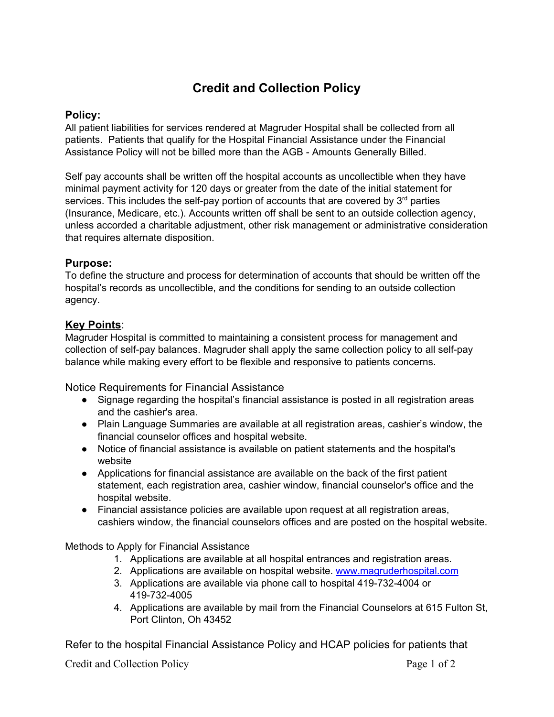# **Credit and Collection Policy**

# **Policy:**

All patient liabilities for services rendered at Magruder Hospital shall be collected from all patients. Patients that qualify for the Hospital Financial Assistance under the Financial Assistance Policy will not be billed more than the AGB - Amounts Generally Billed.

Self pay accounts shall be written off the hospital accounts as uncollectible when they have minimal payment activity for 120 days or greater from the date of the initial statement for services. This includes the self-pay portion of accounts that are covered by 3<sup>rd</sup> parties (Insurance, Medicare, etc.). Accounts written off shall be sent to an outside collection agency, unless accorded a charitable adjustment, other risk management or administrative consideration that requires alternate disposition.

# **Purpose:**

To define the structure and process for determination of accounts that should be written off the hospital's records as uncollectible, and the conditions for sending to an outside collection agency.

# **Key Points**:

Magruder Hospital is committed to maintaining a consistent process for management and collection of self-pay balances. Magruder shall apply the same collection policy to all self-pay balance while making every effort to be flexible and responsive to patients concerns.

Notice Requirements for Financial Assistance

- Signage regarding the hospital's financial assistance is posted in all registration areas and the cashier's area.
- Plain Language Summaries are available at all registration areas, cashier's window, the financial counselor offices and hospital website.
- Notice of financial assistance is available on patient statements and the hospital's website
- Applications for financial assistance are available on the back of the first patient statement, each registration area, cashier window, financial counselor's office and the hospital website.
- Financial assistance policies are available upon request at all registration areas, cashiers window, the financial counselors offices and are posted on the hospital website.

Methods to Apply for Financial Assistance

- 1. Applications are available at all hospital entrances and registration areas.
- 2. Applications are available on hospital website. [www.magruderhospital.com](http://www.magruderhospital.com/)
- 3. Applications are available via phone call to hospital 419-732-4004 or 419-732-4005
- 4. Applications are available by mail from the Financial Counselors at 615 Fulton St, Port Clinton, Oh 43452

Refer to the hospital Financial Assistance Policy and HCAP policies for patients that

Credit and Collection Policy Page 1 of 2